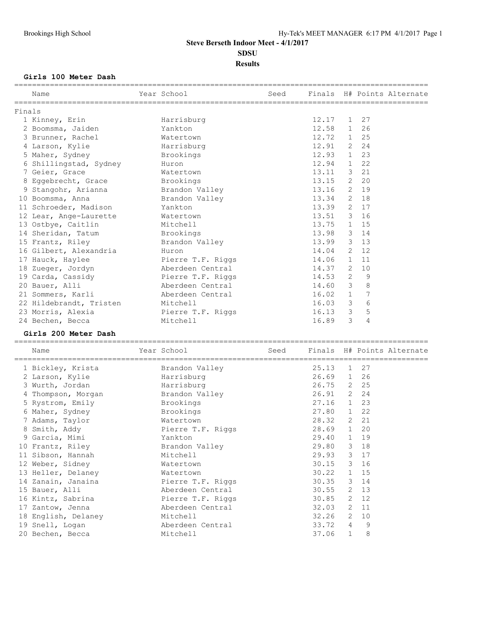## **Girls 100 Meter Dash**

|        | Name                                                 | Year School in the School and the School and the School and the School and the School and the School |               |   |   | Seed Finals H# Points Alternate |
|--------|------------------------------------------------------|------------------------------------------------------------------------------------------------------|---------------|---|---|---------------------------------|
| Finals |                                                      |                                                                                                      |               |   |   |                                 |
|        | 1 Kinney, Erin                                       | Harrisburg                                                                                           | $12.17$ 1 27  |   |   |                                 |
|        | 2 Boomsma, Jaiden                                    | Yankton                                                                                              | 12.58 1 26    |   |   |                                 |
|        | 3 Brunner, Rachel Matertown                          |                                                                                                      | 12.72 1 25    |   |   |                                 |
|        | 4 Larson, Kylie                                      | Harrisburg                                                                                           | 12.91 2 24    |   |   |                                 |
|        | 5 Maher, Sydney                                      | Brookings                                                                                            | $12.93 \t123$ |   |   |                                 |
|        | 6 Shillingstad, Sydney Huron                         |                                                                                                      | 12.94 1 22    |   |   |                                 |
|        | 7 Geier, Grace                                       | Watertown                                                                                            | 13.11 3 21    |   |   |                                 |
|        | 8 Eggebrecht, Grace Brookings                        |                                                                                                      | 13.15 2 20    |   |   |                                 |
|        | 9 Stangohr, Arianna brandon Valley                   |                                                                                                      | 13.16 2 19    |   |   |                                 |
|        | 10 Boomsma, Anna                                     | Brandon Valley                                                                                       | 13.34 2 18    |   |   |                                 |
|        | 11 Schroeder, Madison Mankton                        |                                                                                                      | 13.39 2 17    |   |   |                                 |
|        | 12 Lear, Ange-Laurette Watertown                     |                                                                                                      | 13.51 3 16    |   |   |                                 |
|        | 13 Ostbye, Caitlin Mitchell                          |                                                                                                      | 13.75 1 15    |   |   |                                 |
|        | 14 Sheridan, Tatum Brookings                         |                                                                                                      | 13.98 3 14    |   |   |                                 |
|        | 15 Frantz, Riley Brandon Valley                      |                                                                                                      | 13.99 3 13    |   |   |                                 |
|        | 16 Gilbert, Alexandria                               | Huron                                                                                                | $14.04$ 2 12  |   |   |                                 |
|        | 17 Hauck, Haylee                                     | Pierre T.F. Riggs                                                                                    | 14.06 1 11    |   |   |                                 |
|        | 18 Zueger, Jordyn Merdeen Central                    |                                                                                                      | 14.37 2 10    |   |   |                                 |
|        | 19 Carda, Cassidy <b>Example 2</b> Pierre T.F. Riggs |                                                                                                      | $14.53$ 2     |   | 9 |                                 |
|        | 20 Bauer, Alli                                       | Aberdeen Central                                                                                     | 14.60 3       |   | 8 |                                 |
|        | 21 Sommers, Karli                                    | Aberdeen Central                                                                                     | $16.02$ 1     |   | 7 |                                 |
|        | 22 Hildebrandt, Tristen Mitchell                     |                                                                                                      | 16.03 3       |   | 6 |                                 |
|        | 23 Morris, Alexia (23 Pierre T.F. Riggs)             |                                                                                                      | $16.13$ 3     |   | 5 |                                 |
|        | 24 Bechen, Becca                                     | Mitchell                                                                                             | 16.89         | 3 | 4 |                                 |
|        |                                                      |                                                                                                      |               |   |   |                                 |

## **Girls 200 Meter Dash**

| Name                | Year School                                        | Seed |              |              |    | Finals H# Points Alternate |
|---------------------|----------------------------------------------------|------|--------------|--------------|----|----------------------------|
| 1 Bickley, Krista   | ================================<br>Brandon Valley |      | 25.13        | $\mathbf{1}$ | 27 |                            |
| 2 Larson, Kylie     | Harrisburg                                         |      | 26.69 1 26   |              |    |                            |
| 3 Wurth, Jordan     | Harrisburg                                         |      | 26.75 2 25   |              |    |                            |
| 4 Thompson, Morgan  | Brandon Valley                                     |      | 26.91 2 24   |              |    |                            |
| 5 Rystrom, Emily    | Brookings                                          |      | 27.16 1 23   |              |    |                            |
| 6 Maher, Sydney     | Brookings                                          |      | 27.80 1 22   |              |    |                            |
| 7 Adams, Taylor     | Watertown                                          |      | 28.32 2 21   |              |    |                            |
| 8 Smith, Addy       | Pierre T.F. Riggs                                  |      | 28.69 1 20   |              |    |                            |
| 9 Garcia, Mimi      | Yankton                                            |      | 29.40 1 19   |              |    |                            |
| 10 Frantz, Riley    | Brandon Valley                                     |      | 29.80 3 18   |              |    |                            |
| 11 Sibson, Hannah   | Mitchell                                           |      | 29.93 3 17   |              |    |                            |
| 12 Weber, Sidney    | Watertown                                          |      | 30.15 3 16   |              |    |                            |
| 13 Heller, Delaney  | Watertown                                          |      | $30.22$ 1 15 |              |    |                            |
| 14 Zanain, Janaina  | Pierre T.F. Riggs                                  |      | 30.35 3 14   |              |    |                            |
| 15 Bauer, Alli      | Aberdeen Central                                   |      | $30.55$ 2 13 |              |    |                            |
| 16 Kintz, Sabrina   | Pierre T.F. Riggs                                  |      | $30.85$ 2 12 |              |    |                            |
| 17 Zantow, Jenna    | Aberdeen Central                                   |      | 32.03 2 11   |              |    |                            |
| 18 English, Delaney | Mitchell                                           |      | 32.26 2 10   |              |    |                            |
| 19 Snell, Logan     | Aberdeen Central                                   |      | 33.72 4      |              | 9  |                            |
| 20 Bechen, Becca    | Mitchell                                           |      | 37.06        | $\mathbf{1}$ | 8  |                            |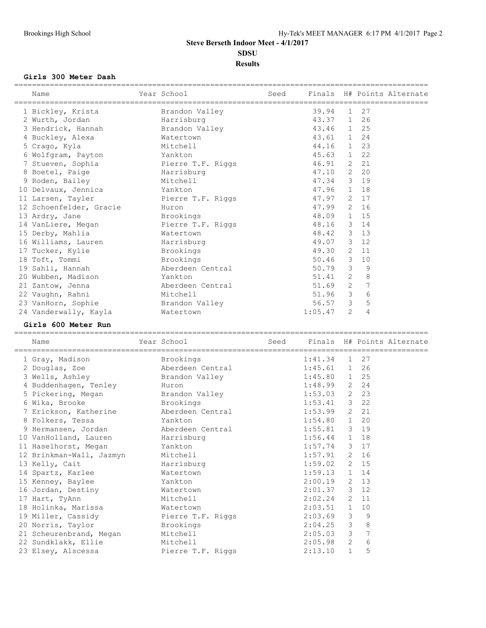### **Girls 300 Meter Dash**

| Name                                                                                                                                                                                                                                 | Year School       |            |   |   | Seed Finals H# Points Alternate |
|--------------------------------------------------------------------------------------------------------------------------------------------------------------------------------------------------------------------------------------|-------------------|------------|---|---|---------------------------------|
|                                                                                                                                                                                                                                      |                   |            |   |   |                                 |
| 1 Bickley, Krista         Brandon Valley                                                                                                                                                                                             |                   | 39.94 1 27 |   |   |                                 |
| 2 Wurth, Jordan Marrisburg                                                                                                                                                                                                           |                   | 43.37 1 26 |   |   |                                 |
| 3 Hendrick, Hannah                                                                                                                                                                                                                   | Brandon Valley    | 43.46 1 25 |   |   |                                 |
| 4 Buckley, Alexa Matertown                                                                                                                                                                                                           |                   | 43.61 1 24 |   |   |                                 |
| 5 Crago, Kyla Mitchell                                                                                                                                                                                                               |                   | 44.16 1 23 |   |   |                                 |
| 6 Wolfgram, Payton Mankton                                                                                                                                                                                                           |                   | 45.63 1 22 |   |   |                                 |
| 7 Stueven, Sophia Pierre T.F. Riggs                                                                                                                                                                                                  |                   | 46.91 2 21 |   |   |                                 |
| 8 Boetel, Paige <b>Brand Bang Brand Brand Brand Brand Brand Brand Brand Brand Brand Brand Brand Brand Brand Brand Brand Brand Brand Brand Brand Brand Brand Brand Brand Brand Brand Brand Brand Brand Brand Brand Brand Brand Br</b> |                   | 47.10 2 20 |   |   |                                 |
| 9 Roden, Bailey Mitchell                                                                                                                                                                                                             |                   | 47.34 3 19 |   |   |                                 |
| 10 Delvaux, Jennica Mankton                                                                                                                                                                                                          |                   | 47.96 1 18 |   |   |                                 |
| 11 Larsen, Tayler                                                                                                                                                                                                                    | Pierre T.F. Riggs | 47.97 2 17 |   |   |                                 |
| 12 Schoenfelder, Gracie Huron                                                                                                                                                                                                        |                   | 47.99 2 16 |   |   |                                 |
| Brookings<br>13 Ardry, Jane                                                                                                                                                                                                          |                   | 48.09 1 15 |   |   |                                 |
| 14 VanLiere, Megan Pierre T.F. Riggs                                                                                                                                                                                                 |                   | 48.16 3 14 |   |   |                                 |
| 15 Derby, Mahlia Matertown                                                                                                                                                                                                           |                   | 48.42 3 13 |   |   |                                 |
| 16 Williams, Lauren and Harrisburg                                                                                                                                                                                                   |                   | 49.07 3 12 |   |   |                                 |
| 17 Tucker, Kylie                                                                                                                                                                                                                     | Brookings         | 49.30 2 11 |   |   |                                 |
| 18 Toft, Tommi                                                                                                                                                                                                                       | Brookings         | 50.46 3 10 |   |   |                                 |
| 19 Sahli, Hannah Manada Aberdeen Central                                                                                                                                                                                             |                   | 50.79 3    |   | 9 |                                 |
| 20 Wubben, Madison Mankton                                                                                                                                                                                                           |                   | $51.41$ 2  |   | 8 |                                 |
| 21 Zantow, Jenna                                                                                                                                                                                                                     | Aberdeen Central  | 51.69 2    |   | 7 |                                 |
| 22 Vaughn, Rahni                                                                                                                                                                                                                     | Mitchell          | 51.96 3    |   | 6 |                                 |
| 23 VanHorn, Sophie Brandon Valley                                                                                                                                                                                                    |                   | 56.57 3    |   | 5 |                                 |
| 24 Vanderwally, Kayla                                                                                                                                                                                                                | Watertown         | 1:05.47    | 2 | 4 |                                 |

#### **Girls 600 Meter Run**

| Name                                           | Year School Seed Finals H# Points Alternate |                |              |         |  |
|------------------------------------------------|---------------------------------------------|----------------|--------------|---------|--|
| 1 Gray, Madison Brookings                      |                                             | $1:41.34$ 1 27 |              |         |  |
| 2 Douglas, Zoe and Aberdeen Central            |                                             | $1:45.61$ 1 26 |              |         |  |
| 3 Wells, Ashley Contract Brandon Valley        |                                             | $1:45.80$ 1 25 |              |         |  |
| 4 Buddenhagen, Tenley Huron                    |                                             | $1:48.99$ 2 24 |              |         |  |
| 5 Pickering, Megan Brandon Valley              |                                             | $1:53.03$ 2 23 |              |         |  |
| 6 Wika, Brooke Brookings                       |                                             | $1:53.41$ 3 22 |              |         |  |
| 7 Erickson, Katherine Maberdeen Central        |                                             | $1:53.99$ 2 21 |              |         |  |
| 8 Folkers, Tessa Mankton                       |                                             | $1:54.80$ 1 20 |              |         |  |
| 9 Hermansen, Jordan Merdeen Central            |                                             | $1:55.81$ 3 19 |              |         |  |
| 10 VanHolland, Lauren Harrisburg               |                                             | $1:56.44$ 1 18 |              |         |  |
| 11 Haselhorst, Megan Mankton                   |                                             | $1:57.74$ 3 17 |              |         |  |
| 12 Brinkman-Wall, Jazmyn Mitchell              |                                             | $1:57.91$ 2 16 |              |         |  |
| 13 Kelly, Cait Marrisburg                      |                                             | $1:59.02$ 2 15 |              |         |  |
| 14 Spartz, Karlee Matertown                    |                                             | $1:59.13$ 1 14 |              |         |  |
| 15 Kenney, Baylee<br><b>Example 12</b> Yankton |                                             | $2:00.19$ 2 13 |              |         |  |
| 16 Jordan, Destiny Matertown                   |                                             | $2:01.37$ 3 12 |              |         |  |
| 17 Hart, TyAnn Mitchell                        |                                             | $2:02.24$ 2 11 |              |         |  |
| 18 Holinka, Marissa Matertown                  |                                             | $2:03.51$ 1 10 |              |         |  |
| 19 Miller, Cassidy Pierre T.F. Riggs           |                                             | $2:03.69$ 3    |              | - 9     |  |
| 20 Norris, Taylor Brookings                    |                                             | $2:04.25$ 3    |              | $\,8\,$ |  |
| 21 Scheurenbrand, Megan Mitchell               |                                             | $2:05.03$ 3    |              | 7       |  |
| 22 Sundklakk, Ellie Mitchell                   |                                             | $2:05.98$ 2    |              | 6       |  |
| 23 Elsey, Alscessa Pierre T.F. Riggs           |                                             | 2:13.10        | $\mathbf{1}$ | 5       |  |
|                                                |                                             |                |              |         |  |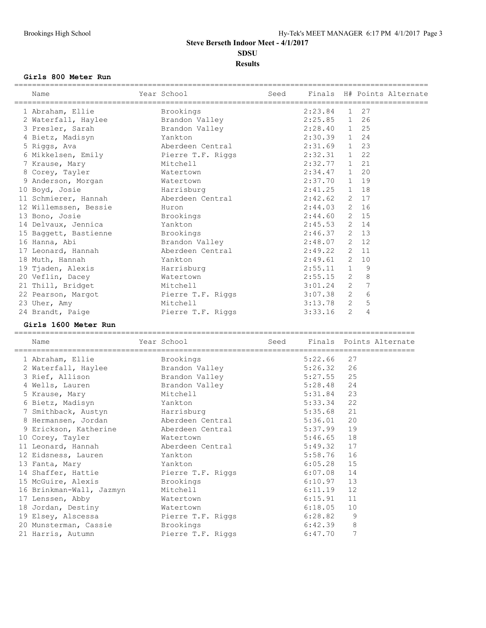#### **Girls 800 Meter Run**

| Name                                      | Year School    |                |   |    | Seed Finals H# Points Alternate |
|-------------------------------------------|----------------|----------------|---|----|---------------------------------|
|                                           |                |                |   |    |                                 |
| 1 Abraham, Ellie Brookings                |                | $2:23.84$ 1 27 |   |    |                                 |
| 2 Waterfall, Haylee                       | Brandon Valley | 2:25.85 1 26   |   |    |                                 |
| 3 Presler, Sarah                          | Brandon Valley | $2:28.40$ 1 25 |   |    |                                 |
| 4 Bietz, Madisyn Mankton                  |                | 2:30.39 1 24   |   |    |                                 |
| 5 Riggs, Ava and Aberdeen Central         |                | 2:31.69 1 23   |   |    |                                 |
| 6 Mikkelsen, Emily Pierre T.F. Riggs      |                | 2:32.31 1 22   |   |    |                                 |
| 7 Krause, Mary                            | Mitchell       | 2:32.77 1 21   |   |    |                                 |
| 8 Corey, Tayler Matertown                 |                | $2:34.47$ 1 20 |   |    |                                 |
| 9 Anderson, Morgan Matertown              |                | 2:37.70 1 19   |   |    |                                 |
| 10 Boyd, Josie by Harrisburg              |                | $2:41.25$ 1 18 |   |    |                                 |
| 11 Schmierer, Hannah Mardeen Central      |                | $2:42.62$ 2 17 |   |    |                                 |
| 12 Willemssen, Bessie Muron               |                | $2:44.03$ 2 16 |   |    |                                 |
| 13 Bono, Josie brookings                  |                | $2:44.60$ 2 15 |   |    |                                 |
| 14 Delvaux, Jennica Mankton               |                | $2:45.53$ 2 14 |   |    |                                 |
| 15 Baggett, Bastienne brookings           |                | $2:46.37$ 2 13 |   |    |                                 |
| 16 Hanna, Abi Mandon Valley               |                | $2:48.07$ 2 12 |   |    |                                 |
| 17 Leonard, Hannah Machadeen Central      |                | $2:49.22$ 2 11 |   |    |                                 |
| 18 Muth, Hannah                           | Yankton        | $2:49.61$ 2    |   | 10 |                                 |
| 19 Tjaden, Alexis Marrisburg              |                | $2:55.11$ 1    |   | 9  |                                 |
| 20 Veflin, Dacey                          | Watertown      | $2:55.15$ 2    |   | 8  |                                 |
| 21 Thill, Bridget                         | Mitchell       | $3:01.24$ 2    |   | 7  |                                 |
| 22 Pearson, Margot Pierre T.F. Riggs      |                | $3:07.38$ 2    |   | 6  |                                 |
| 23 Uher, Amy                              | Mitchell       | $3:13.78$ 2    |   | 5  |                                 |
| 24 Brandt, Paige Manuel Pierre T.F. Riggs |                | 3:33.16        | 2 | 4  |                                 |
|                                           |                |                |   |    |                                 |

#### **Girls 1600 Meter Run**

========================================================================================== Name Year School Seed Finals Points Alternate ========================================================================================== 1 Abraham, Ellie Brookings 5:22.66 27 2 Waterfall, Haylee Brandon Valley 5:26.32 26 3 Rief, Allison Brandon Valley 5:27.55 25 4 Wells, Lauren Brandon Valley 5:28.48 24 5 Krause, Mary Mitchell 5:31.84 23 6 Bietz, Madisyn Yankton 5:33.34 22 7 Smithback, Austyn Harrisburg 5:35.68 21 8 Hermansen, Jordan Aberdeen Central 5:36.01 20 9 Erickson, Katherine Aberdeen Central 5:37.99 19 10 Corey, Tayler Watertown 5:46.65 18 11 Leonard, Hannah Aberdeen Central 5:49.32 17 12 Eidsness, Lauren 16 Mankton 16 Manuel 12 Eidsness, 16 Manuel 16 Manuel 16 Manuel 16 Manuel 16 Manuel 16 Ma 13 Fanta, Mary Yankton 6:05.28 15 14 Shaffer, Hattie **Pierre T.F. Riggs** 6:07.08 14 15 McGuire, Alexis Brookings 6:10.97 13 16 Brinkman-Wall, Jazmyn Mitchell 6:11.19 12 17 Lenssen, Abby Watertown 6:15.91 11 18 Jordan, Destiny Watertown 6:18.05 10 19 Elsey, Alscessa Pierre T.F. Riggs 6:28.82 9 20 Munsterman, Cassie Brookings 6:42.39 8 21 Harris, Autumn Pierre T.F. Riggs 6:47.70 7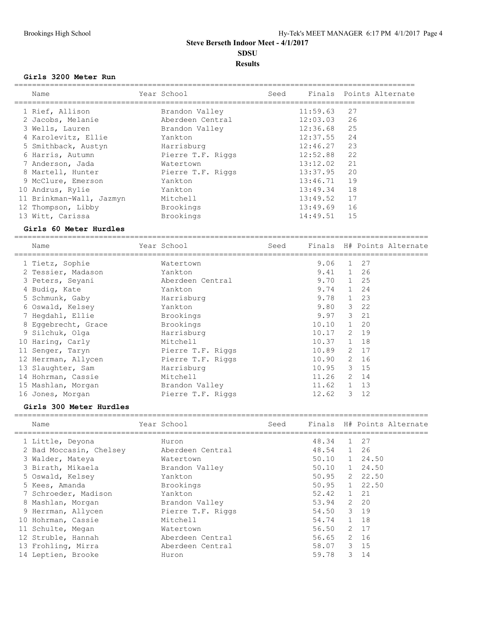### **Girls 3200 Meter Run**

| Name                     | Year School       | Seed |          | Finals Points Alternate |
|--------------------------|-------------------|------|----------|-------------------------|
| 1 Rief, Allison          | Brandon Valley    |      | 11:59.63 | 27                      |
| 2 Jacobs, Melanie        | Aberdeen Central  |      | 12:03.03 | 26                      |
| 3 Wells, Lauren          | Brandon Valley    |      | 12:36.68 | 25                      |
| 4 Karolevitz, Ellie      | Yankton           |      | 12:37.55 | 24                      |
| 5 Smithback, Austyn      | Harrisburg        |      | 12:46.27 | 23                      |
| 6 Harris, Autumn         | Pierre T.F. Riggs |      | 12:52.88 | 22                      |
| 7 Anderson, Jada         | Watertown         |      | 13:12.02 | 21                      |
| 8 Martell, Hunter        | Pierre T.F. Riggs |      | 13:37.95 | 20                      |
| 9 McClure, Emerson       | Yankton           |      | 13:46.71 | 19                      |
| 10 Andrus, Rylie         | Yankton           |      | 13:49.34 | 18                      |
| 11 Brinkman-Wall, Jazmyn | Mitchell          |      | 13:49.52 | 17                      |
| 12 Thompson, Libby       | Brookings         |      | 13:49.69 | 16                      |
| 13 Witt, Carissa         | Brookings         |      | 14:49.51 | 15                      |

### **Girls 60 Meter Hurdles**

============================================================================================= Seed Finals H# Points Alternate

| nalle               | TAGI PCHOOT       | beeu |              |              | Illials – n# Poliits Alternate |
|---------------------|-------------------|------|--------------|--------------|--------------------------------|
| 1 Tietz, Sophie     | Watertown         |      | 9.06         | $\mathbf{1}$ | 27                             |
| 2 Tessier, Madason  | Yankton           |      | 9.41 1 26    |              |                                |
| 3 Peters, Seyani    | Aberdeen Central  |      | $9.70$ 1 25  |              |                                |
| 4 Budiq, Kate       | Yankton           |      | 9.74 1 24    |              |                                |
| 5 Schmunk, Gaby     | Harrisburg        |      | 9.78         |              | 1 23                           |
| 6 Oswald, Kelsey    | Yankton           |      | 9.80         |              | $3 \t22$                       |
| 7 Hegdahl, Ellie    | Brookings         |      | 9.97         |              | 3 21                           |
| 8 Eqqebrecht, Grace | Brookings         |      | 10.10        | $\mathbf{1}$ | 20                             |
| 9 Silchuk, Olga     | Harrisburg        |      | 10.17        |              | 2 19                           |
| 10 Haring, Carly    | Mitchell          |      | $10.37$ 1 18 |              |                                |
| 11 Senger, Taryn    | Pierre T.F. Riggs |      | 10.89        |              | 2 17                           |
| 12 Herrman, Allycen | Pierre T.F. Riggs |      | 10.90        |              | 2 16                           |
| 13 Slaughter, Sam   | Harrisburg        |      | 10.95        |              | 3, 15                          |
| 14 Hohrman, Cassie  | Mitchell          |      | 11.26        |              | 2 14                           |
| 15 Mashlan, Morgan  | Brandon Valley    |      | 11.62        |              | 1 13                           |
| 16 Jones, Morgan    | Pierre T.F. Riggs |      | 12.62        |              | $3 \t12$                       |

### **Girls 300 Meter Hurdles**

| Name                    | Year School       | Seed |       |              | Finals H# Points Alternate |
|-------------------------|-------------------|------|-------|--------------|----------------------------|
| 1 Little, Deyona        | Huron             |      | 48.34 | $\mathbf{1}$ | 27                         |
| 2 Bad Moccasin, Chelsey | Aberdeen Central  |      | 48.54 | $\mathbf{1}$ | 26                         |
| 3 Walder, Mateya        | Watertown         |      | 50.10 |              | 1 24.50                    |
| 3 Birath, Mikaela       | Brandon Valley    |      | 50.10 |              | 1, 24.50                   |
| 5 Oswald, Kelsey        | Yankton           |      | 50.95 |              | 2, 22, 50                  |
| 5 Kees, Amanda          | Brookings         |      | 50.95 |              | $1 \quad 22.50$            |
| 7 Schroeder, Madison    | Yankton           |      | 52.42 |              | 1 21                       |
| 8 Mashlan, Morgan       | Brandon Valley    |      | 53.94 | 2            | 20                         |
| 9 Herrman, Allycen      | Pierre T.F. Riggs |      | 54.50 |              | 3 19                       |
| 10 Hohrman, Cassie      | Mitchell          |      | 54.74 |              | 1 18                       |
| 11 Schulte, Megan       | Watertown         |      | 56.50 |              | 2 17                       |
| 12 Struble, Hannah      | Aberdeen Central  |      | 56.65 |              | 2 16                       |
| 13 Frohling, Mirra      | Aberdeen Central  |      | 58.07 |              | $3 \quad 15$               |
| 14 Leptien, Brooke      | Huron             |      | 59.78 | 3            | 14                         |
|                         |                   |      |       |              |                            |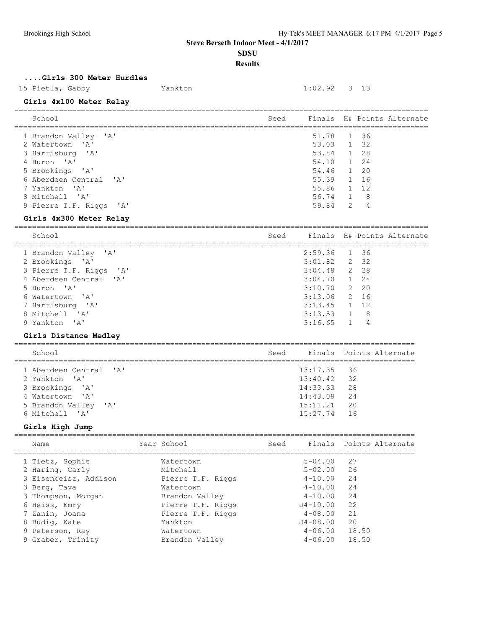## **SDSU**

## **Results**

=============================================================================================

## **....Girls 300 Meter Hurdles**

## 15 Pietla, Gabby Yankton 1:02.92 3 13

# **Girls 4x100 Meter Relay**

| School                                                                | Seed |                     |   |      | Finals H# Points Alternate |
|-----------------------------------------------------------------------|------|---------------------|---|------|----------------------------|
| 1 Brandon Valley 'A'<br>$\mathsf{I} \wedge \mathsf{I}$<br>2 Watertown |      | 51.78<br>53.03 1 32 |   | 1 36 |                            |
| 3 Harrisburg 'A'                                                      |      | 53.84               |   | 1 28 |                            |
| 4 Huron 'A'                                                           |      | 54.10               |   | 1 24 |                            |
| 5 Brookings 'A'                                                       |      | 54.46 1 20          |   |      |                            |
| 6 Aberdeen Central 'A'                                                |      | 55.39               |   | 1 16 |                            |
| 7 Yankton 'A'                                                         |      | 55.86               |   | 1 12 |                            |
| 8 Mitchell<br>$^{\prime}$ A $^{\prime}$                               |      | 56.74 1             |   | - 8  |                            |
| 9 Pierre T.F. Riggs 'A'                                               |      | 59.84               | 2 | 4    |                            |

### **Girls 4x300 Meter Relay**

| School                  | Seed |                |                | Finals H# Points Alternate |
|-------------------------|------|----------------|----------------|----------------------------|
| 1 Brandon Valley 'A'    |      | 2:59.36 1 36   |                |                            |
| 2 Brookings 'A'         |      | $3:01.82$ 2 32 |                |                            |
| 3 Pierre T.F. Riggs 'A' |      | $3:04.48$ 2 28 |                |                            |
| 4 Aberdeen Central 'A'  |      | $3:04.70$ 1 24 |                |                            |
| 5 Huron 'A'             |      | $3:10.70$ 2 20 |                |                            |
| 6 Watertown 'A'         |      | $3:13.06$ 2 16 |                |                            |
| 7 Harrisburg 'A'        |      | $3:13.45$ 1 12 |                |                            |
| 8 Mitchell 'A'          |      | 3:13.53        | - 8            |                            |
| 9 Yankton 'A'           |      | $3:16.65$ 1    | $\overline{4}$ |                            |

## **Girls Distance Medley**

| School                 | Seed |               | Finals Points Alternate |
|------------------------|------|---------------|-------------------------|
| 1 Aberdeen Central 'A' |      | $13:17.35$ 36 |                         |
| 2 Yankton 'A'          |      | $13:40.42$ 32 |                         |
| 3 Brookings 'A'        |      | $14:33.33$ 28 |                         |
| 4 Watertown 'A'        |      | 14:43.08 24   |                         |
| 5 Brandon Valley 'A'   |      | 15:11.21      | 20                      |
| 6 Mitchell 'A'         |      | 15:27.74      | - 16                    |
|                        |      |               |                         |

## **Girls High Jump**

| Name                  | Year School       | Seed         | Finals Points Alternate |
|-----------------------|-------------------|--------------|-------------------------|
| 1 Tietz, Sophie       | Watertown         | $5 - 04.00$  | -27                     |
| 2 Haring, Carly       | Mitchell          | $5 - 02.00$  | 26                      |
| 3 Eisenbeisz, Addison | Pierre T.F. Riggs | $4 - 10.00$  | 24                      |
| 3 Berg, Tava          | Watertown         | $4 - 10.00$  | 24                      |
| 3 Thompson, Morgan    | Brandon Valley    | $4 - 10.00$  | 24                      |
| 6 Heiss, Emry         | Pierre T.F. Riggs | $J4 - 10.00$ | 22                      |
| 7 Zanin, Joana        | Pierre T.F. Riggs | $4 - 08.00$  | 21                      |
| 8 Budig, Kate         | Yankton           | $J4 - 08.00$ | 20                      |
| 9 Peterson, Ray       | Watertown         | $4 - 06.00$  | 18.50                   |
| 9 Graber, Trinity     | Brandon Valley    | $4 - 06.00$  | 18.50                   |
|                       |                   |              |                         |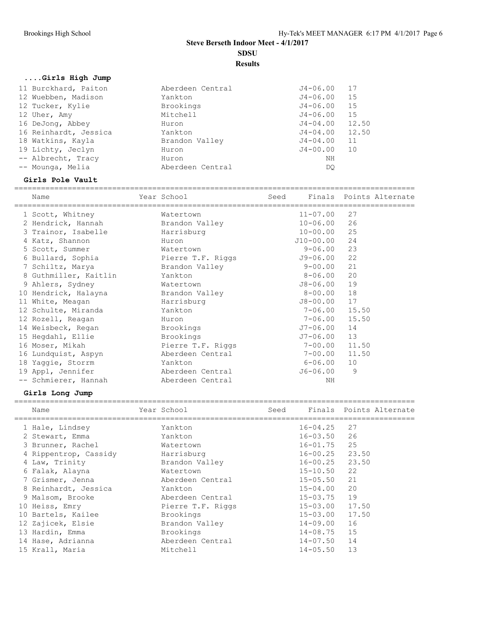**SDSU**

## **Results**

## **....Girls High Jump**

| 11 Burckhard, Paiton  | Aberdeen Central | $J4 - 06.00$ | 17    |
|-----------------------|------------------|--------------|-------|
| 12 Wuebben, Madison   | Yankton          | J4-06.00     | 15    |
| 12 Tucker, Kylie      | Brookings        | J4-06.00     | 15    |
| 12 Uher, Amy          | Mitchell         | J4-06.00     | 15    |
| 16 DeJong, Abbey      | Huron            | J4-04.00     | 12.50 |
| 16 Reinhardt, Jessica | Yankton          | J4-04.00     | 12.50 |
| 18 Watkins, Kayla     | Brandon Valley   | J4-04.00     | 11    |
| 19 Lichty, Jeclyn     | Huron            | J4-00.00     | 10    |
| -- Albrecht, Tracy    | Huron            | ΝH           |       |
| -- Mounga, Melia      | Aberdeen Central | DO           |       |

#### **Girls Pole Vault**

| Name                                | Year School       | Seed Finals Points Alternate |       |  |
|-------------------------------------|-------------------|------------------------------|-------|--|
| 1 Scott, Whitney                    | Watertown         | $11 - 07.00$                 | 27    |  |
| 2 Hendrick, Hannah                  | Brandon Valley    | $10 - 06.00$                 | 26    |  |
| 3 Trainor, Isabelle                 | Harrisburg        | $10 - 00.00$                 | 25    |  |
| 4 Katz, Shannon                     | Huron             | J10-00.00                    | 24    |  |
| 5 Scott, Summer                     | Watertown         | $9 - 06.00$                  | 23    |  |
| 6 Bullard, Sophia                   | Pierre T.F. Riggs | J9-06.00                     | 22    |  |
| 7 Schiltz, Marya                    | Brandon Valley    | $9 - 00.00$                  | 21    |  |
| 8 Guthmiller, Kaitlin               | Yankton           | $8 - 06.00$                  | 20    |  |
| 9 Ahlers, Sydney                    | Watertown         | J8-06.00                     | 19    |  |
| 10 Hendrick, Halayna Brandon Valley |                   | $8 - 00.00$                  | 18    |  |
| 11 White, Meagan                    | Harrisburg        | J8-00.00                     | 17    |  |
| 12 Schulte, Miranda                 | Yankton           | 7-06.00                      | 15.50 |  |
| 12 Rozell, Reagan                   | Huron             | 7-06.00                      | 15.50 |  |
| 14 Weisbeck, Regan                  | Brookings         | J7-06.00                     | 14    |  |
| 15 Hegdahl, Ellie                   | Brookings         | J7-06.00                     | 13    |  |
| 16 Moser, Mikah                     | Pierre T.F. Riggs | $7 - 00.00$                  | 11.50 |  |
| 16 Lundquist, Aspyn                 | Aberdeen Central  | 7-00.00                      | 11.50 |  |
| 18 Yaggie, Storrm                   | Yankton           | 6-06.00                      | 10    |  |
| 19 Appl, Jennifer                   | Aberdeen Central  | J6-06.00                     | 9     |  |
| -- Schmierer, Hannah                | Aberdeen Central  | NH                           |       |  |

## **Girls Long Jump**

| Name                  | Year School       | Seed |              | Finals Points Alternate |  |
|-----------------------|-------------------|------|--------------|-------------------------|--|
| 1 Hale, Lindsey       | Yankton           |      | $16 - 04.25$ | 27                      |  |
| 2 Stewart, Emma       | Yankton           |      | $16 - 03.50$ | 26                      |  |
| 3 Brunner, Rachel     | Watertown         |      | 16-01.75     | 25                      |  |
| 4 Rippentrop, Cassidy | Harrisburg        |      | 16-00.25     | 23.50                   |  |
| 4 Law, Trinity        | Brandon Valley    |      | 16-00.25     | 23.50                   |  |
| 6 Falak, Alayna       | Watertown         |      | $15 - 10.50$ | 22                      |  |
| 7 Grismer, Jenna      | Aberdeen Central  |      | $15 - 05.50$ | 21                      |  |
| 8 Reinhardt, Jessica  | Yankton           |      | $15 - 04.00$ | 20                      |  |
| 9 Malsom, Brooke      | Aberdeen Central  |      | $15 - 03.75$ | 19                      |  |
| 10 Heiss, Emry        | Pierre T.F. Riggs |      | 15-03.00     | 17.50                   |  |
| 10 Bartels, Kailee    | Brookings         |      | $15 - 03.00$ | 17.50                   |  |
| 12 Zajicek, Elsie     | Brandon Valley    |      | 14-09.00     | 16                      |  |
| 13 Hardin, Emma       | Brookings         |      | 14-08.75     | 15                      |  |
| 14 Hase, Adrianna     | Aberdeen Central  |      | 14-07.50     | 14                      |  |
| 15 Krall, Maria       | Mitchell          |      | $14 - 05.50$ | 13                      |  |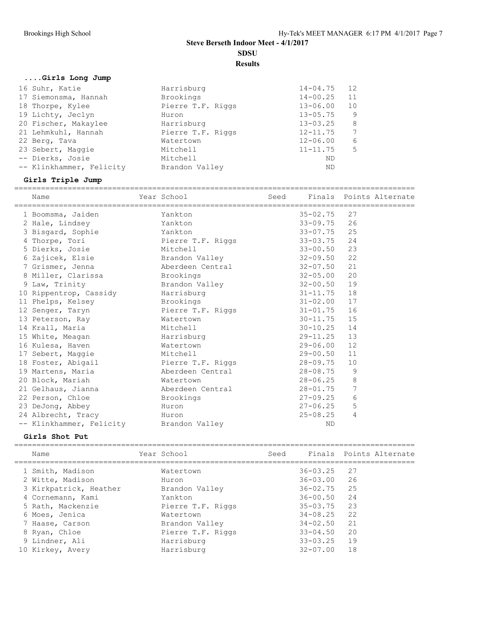**Results**

## **....Girls Long Jump**

| Harrisburg        | $14 - 04.75$ | 12 |
|-------------------|--------------|----|
| Brookings         | $14 - 00.25$ | 11 |
| Pierre T.F. Riggs | $13 - 06.00$ | 10 |
| Huron             | $13 - 05.75$ | -9 |
| Harrisburg        | $13 - 03.25$ | 8  |
| Pierre T.F. Riggs | $12 - 11.75$ | 7  |
| Watertown         | $12 - 06.00$ | 6  |
| Mitchell          | $11 - 11.75$ | 5  |
| Mitchell          | ND           |    |
| Brandon Valley    | ND           |    |
|                   |              |    |

## **Girls Triple Jump**

| Name                                                                                   | Year School              | Seed Finals Points Alternate |            |  |
|----------------------------------------------------------------------------------------|--------------------------|------------------------------|------------|--|
| 1 Boomsma, Jaiden Mankton                                                              |                          | $35 - 02.75$                 | 27         |  |
| 2 Hale, Lindsey                                                                        | <b>Example 1</b> Yankton | $33 - 09.75$ 26              |            |  |
| 3 Bisgard, Sophie Mankton                                                              |                          | $33 - 07.75$                 | 25         |  |
| 4 Thorpe, Tori                         Pierre T.F. Riggs                 33-03.75   24 |                          |                              |            |  |
| 5 Dierks, Josie Mitchell                                                               |                          | $33 - 00.50$ 23              |            |  |
| 6 Zajicek, Elsie and Brandon Valley                                                    |                          | $32 - 09.50$                 | 22         |  |
| 7 Grismer, Jenna (aberdeen Central 32-07.50)                                           |                          |                              | 21         |  |
| 8 Miller, Clarissa Brookings                                                           |                          | $32 - 05.00$                 | 20         |  |
| 9 Law, Trinity                                                                         | Brandon Valley           | $32 - 00.50$                 | 19         |  |
| 10 Rippentrop, Cassidy Harrisburg                                                      |                          | $31 - 11.75$ 18              |            |  |
| 11 Phelps, Kelsey                                                                      | Brookings                | $31 - 02.00$ 17              |            |  |
| 12 Senger, Taryn <b>Example 2</b> Pierre T.F. Riggs 31-01.75                           |                          |                              | 16         |  |
| 13 Peterson, Ray Matertown                                                             |                          | $30 - 11.75$ 15              |            |  |
| 14 Krall, Maria Mitchell                                                               |                          | $30 - 10.25$                 | 14         |  |
| 15 White, Meagan Marrisburg                                                            |                          | $29-11.25$ 13                |            |  |
| 16 Kulesa, Haven Matertown                                                             |                          | $29 - 06.00$                 | 12         |  |
| 17 Sebert, Maggie Mitchell                                                             |                          | $29 - 00.50$                 | 11         |  |
| 18 Foster, Abigail (28-09.75) Pierre T.F. Riggs (28-09.75)                             |                          |                              | 10         |  |
| 19 Martens, Maria             Aberdeen Central                   28-08.75              |                          |                              | 9          |  |
| 20 Block, Mariah                                                                       | Watertown                | $28 - 06.25$                 | $\,8\,$    |  |
| 21 Gelhaus, Jianna (a) Aberdeen Central (a) 28-01.75                                   |                          |                              | $\sqrt{ }$ |  |
| 22 Person, Chloe Brookings                                                             |                          | $27 - 09.25$                 | 6          |  |
| 23 DeJong, Abbey Huron                                                                 |                          | $27 - 06.25$                 | 5          |  |
| 24 Albrecht, Tracy Muron                                                               |                          | 25-08.25                     | 4          |  |
| -- Klinkhammer, Felicity Brandon Valley                                                |                          | <b>ND</b>                    |            |  |

## **Girls Shot Put**

| Name                   | Year School       | Seed |              | Finals Points Alternate |
|------------------------|-------------------|------|--------------|-------------------------|
| 1 Smith, Madison       | Watertown         |      | $36 - 03.25$ | 27                      |
| 2 Witte, Madison       | Huron             |      | $36 - 03.00$ | -26                     |
| 3 Kirkpatrick, Heather | Brandon Valley    |      | $36 - 02.75$ | 25                      |
| 4 Cornemann, Kami      | Yankton           |      | $36 - 00.50$ | 24                      |
| 5 Rath, Mackenzie      | Pierre T.F. Riggs |      | $35 - 03.75$ | 23                      |
| 6 Moes, Jenica         | Watertown         |      | $34 - 08.25$ | 22                      |
| 7 Haase, Carson        | Brandon Valley    |      | $34 - 02.50$ | 21                      |
| 8 Ryan, Chloe          | Pierre T.F. Riggs |      | $33 - 04.50$ | 20                      |
| 9 Lindner, Ali         | Harrisburg        |      | $33 - 03.25$ | 19                      |
| 10 Kirkey, Avery       | Harrisburg        |      | $32 - 07.00$ | 18                      |
|                        |                   |      |              |                         |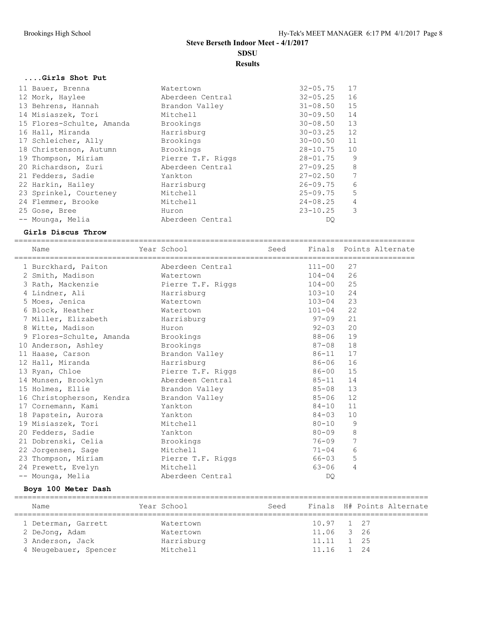**SDSU**

**Results**

### **....Girls Shot Put**

| 11 Bauer, Brenna          | Watertown         | $32 - 05.75$ | 17             |
|---------------------------|-------------------|--------------|----------------|
| 12 Mork, Haylee           | Aberdeen Central  | $32 - 05.25$ | 16             |
| 13 Behrens, Hannah        | Brandon Valley    | $31 - 08.50$ | 15             |
| 14 Misiaszek, Tori        | Mitchell          | $30 - 09.50$ | 14             |
| 15 Flores-Schulte, Amanda | Brookings         | $30 - 08.50$ | 13             |
| 16 Hall, Miranda          | Harrisburg        | $30 - 03.25$ | 12             |
| 17 Schleicher, Ally       | Brookings         | $30 - 00.50$ | 11             |
| 18 Christenson, Autumn    | Brookings         | $28 - 10.75$ | 10             |
| 19 Thompson, Miriam       | Pierre T.F. Riggs | $28 - 01.75$ | 9              |
| 20 Richardson, Zuri       | Aberdeen Central  | $27 - 09.25$ | 8 <sup>8</sup> |
| 21 Fedders, Sadie         | Yankton           | $27 - 02.50$ | 7              |
| 22 Harkin, Hailey         | Harrisburg        | $26 - 09.75$ | 6              |
| 23 Sprinkel, Courteney    | Mitchell          | $25 - 09.75$ | 5              |
| 24 Flemmer, Brooke        | Mitchell          | $24 - 08.25$ | $\overline{4}$ |
| 25 Gose, Bree             | Huron             | $23 - 10.25$ | $\mathcal{S}$  |
| -- Mounga, Melia          | Aberdeen Central  | DQ           |                |
|                           |                   |              |                |

#### **Girls Discus Throw**

========================================================================================== Name Year School Seed Finals Points Alternate ========================================================================================== 1 Burckhard, Paiton Aberdeen Central 111-00 27 2 Smith, Madison Watertown 104-04 26 3 Rath, Mackenzie Pierre T.F. Riggs 104-00 25 4 Lindner, Ali Harrisburg 103-10 24 5 Moes, Jenica Watertown 103-04 23 6 Block, Heather Watertown 101-04 22 7 Miller, Elizabeth Harrisburg 97-09 21 8 Witte, Madison Huron 92-03 20 9 Flores-Schulte, Amanda Brookings 88-06 19 10 Anderson, Ashley Brookings 87-08 18 11 Haase, Carson Brandon Valley 86-11 17 12 Hall, Miranda Harrisburg 86-06 16 13 Ryan, Chloe Pierre T.F. Riggs 86-00 15 14 Munsen, Brooklyn Aberdeen Central 85-11 14 15 Holmes, Ellie Brandon Valley 85-08 13 16 Christopherson, Kendra Brandon Valley 85-06 12 17 Cornemann, Kami Yankton 84-10 11 18 Papstein, Aurora Yankton 84-03 10 19 Misiaszek, Tori Mitchell 80-10 9 20 Fedders, Sadie Yankton 80-09 8 21 Dobrenski, Celia Brookings 76-09 7 22 Jorgensen, Sage Mitchell 71-04 6 23 Thompson, Miriam Pierre T.F. Riggs 66-03 5 24 Prewett, Evelyn Mitchell 63-06 4 -- Mounga, Melia Aberdeen Central DQ

#### **Boys 100 Meter Dash**

| Name                                                                               | Year School                                      | Seed |                                                      | Finals H# Points Alternate |  |
|------------------------------------------------------------------------------------|--------------------------------------------------|------|------------------------------------------------------|----------------------------|--|
| 1 Determan, Garrett<br>2 DeJong, Adam<br>3 Anderson, Jack<br>4 Neugebauer, Spencer | Watertown<br>Watertown<br>Harrisburg<br>Mitchell |      | 10.97 1 27<br>11.06 3 26<br>11.11 1 25<br>11.16 1 24 |                            |  |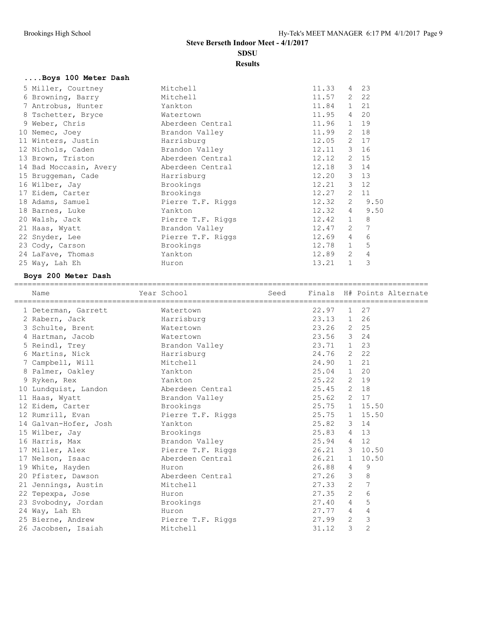**SDSU**

**Results**

| Boys 100 Meter Dash    |                   |              |                |                 |
|------------------------|-------------------|--------------|----------------|-----------------|
| 5 Miller, Courtney     | Mitchell          | 11.33        |                | 4 23            |
| 6 Browning, Barry      | Mitchell          | 11.57 2      |                | 22              |
| 7 Antrobus, Hunter     | Yankton           | $11.84$ 1    |                | 21              |
| 8 Tschetter, Bryce     | Watertown         | 11.95        | 4              | 20              |
| 9 Weber, Chris         | Aberdeen Central  | $11.96$ 1    |                | 19              |
| 10 Nemec, Joey         | Brandon Valley    | 11.99        |                | 2 18            |
| 11 Winters, Justin     | Harrisburg        | 12.05        | 2              | 17              |
| 12 Nichols, Caden      | Brandon Valley    | 12.11 3 16   |                |                 |
| 13 Brown, Triston      | Aberdeen Central  | 12.12        |                | 2 15            |
| 14 Bad Moccasin, Avery | Aberdeen Central  | 12.18        | $\mathcal{S}$  | 14              |
| 15 Bruggeman, Cade     | Harrisburg        | 12.20        |                | $3 \t13$        |
| 16 Wilber, Jay         | Brookings         | $12.21$ 3 12 |                |                 |
| 17 Eidem, Carter       | Brookings         | 12.27        | 2              | 11              |
| 18 Adams, Samuel       | Pierre T.F. Riggs | 12.32        | $2^{\circ}$    | 9.50            |
| 18 Barnes, Luke        | Yankton           | 12.32        | $4\degree$     | 9.50            |
| 20 Walsh, Jack         | Pierre T.F. Riggs | 12.42        | 1              | 8               |
| 21 Haas, Wyatt         | Brandon Valley    | 12.47        | $\overline{2}$ | $7\phantom{.0}$ |
| 22 Snyder, Lee         | Pierre T.F. Riggs | 12.69        | $\overline{4}$ | 6               |
| 23 Cody, Carson        | Brookings         | 12.78        | 1              | 5               |
| 24 LaFave, Thomas      | Yankton           | 12.89        | 2              | 4               |
| 25 Way, Lah Eh         | Huron             | 13.21        | $\mathbf{1}$   | 3               |

## **Boys 200 Meter Dash**

| Name                                                                                                 | Year School       |               |   |                | Seed Finals H# Points Alternate |
|------------------------------------------------------------------------------------------------------|-------------------|---------------|---|----------------|---------------------------------|
| 1 Determan, Garrett                                                                                  | Watertown         | 22.97         |   | 1 27           |                                 |
| 2 Rabern, Jack North States and States and States and States and States and States and States and St | Harrisburg        | 23.13 1 26    |   |                |                                 |
| 3 Schulte, Brent                                                                                     | Watertown         | 23.26 2 25    |   |                |                                 |
| 4 Hartman, Jacob                                                                                     | Watertown         | 23.56 3 24    |   |                |                                 |
| 5 Reindl, Trey Brandon Valley                                                                        |                   | 23.71 1 23    |   |                |                                 |
| 6 Martins, Nick Barrisburg                                                                           |                   | 24.76 2 22    |   |                |                                 |
| 7 Campbell, Will                                                                                     | Mitchell          | 24.90 1 21    |   |                |                                 |
| 8 Palmer, Oakley                                                                                     | Yankton           | 25.04 1 20    |   |                |                                 |
| 9 Ryken, Rex                                                                                         | Yankton           | 25.22 2 19    |   |                |                                 |
| 10 Lundquist, Landon aberdeen Central                                                                |                   | 25.45 2 18    |   |                |                                 |
| 11 Haas, Wyatt                                                                                       | Brandon Valley    | 25.62 2 17    |   |                |                                 |
| 12 Eidem, Carter brookings                                                                           |                   | 25.75 1 15.50 |   |                |                                 |
| 12 Rumrill, Evan Fierre T.F. Riggs                                                                   |                   | 25.75 1 15.50 |   |                |                                 |
| 14 Galvan-Hofer, Josh                                                                                | Yankton           | 25.82 3 14    |   |                |                                 |
| 15 Wilber, Jay Chambrookings                                                                         |                   | 25.83 4 13    |   |                |                                 |
| 16 Harris, Max Brandon Valley                                                                        |                   | 25.94 4 12    |   |                |                                 |
| 17 Miller, Alex                                                                                      | Pierre T.F. Riggs | 26.21 3 10.50 |   |                |                                 |
| 17 Nelson, Isaac                                                                                     | Aberdeen Central  | $26.21$ 1     |   | 10.50          |                                 |
| 19 White, Hayden                                                                                     | Huron             | 26.88 4 9     |   |                |                                 |
| 20 Pfister, Dawson                                                                                   | Aberdeen Central  | $27.26$ 3     |   | 8              |                                 |
| 21 Jennings, Austin                                                                                  | Mitchell          | 27.33 2       |   | 7              |                                 |
| 22 Tepexpa, Jose                                                                                     | Huron             | $27.35$ 2     |   | 6              |                                 |
| 23 Svobodny, Jordan Brookings                                                                        |                   | 27.40 4       |   | 5              |                                 |
| 24 Way, Lah Eh                                                                                       | Huron             | 27.77 4       |   | 4              |                                 |
| 25 Bierne, Andrew Bierre T.F. Riggs                                                                  |                   | $27.99$ 2     |   | 3              |                                 |
| 26 Jacobsen, Isaiah                                                                                  | Mitchell          | 31.12         | 3 | $\overline{c}$ |                                 |
|                                                                                                      |                   |               |   |                |                                 |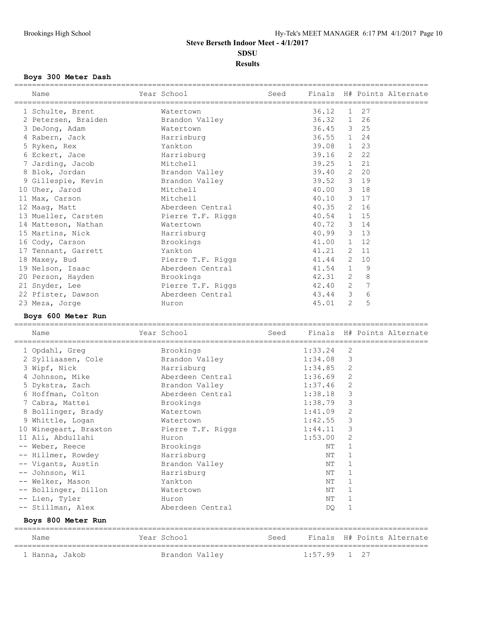## **Results**

### **Boys 300 Meter Dash**

| Name                                   | Year School and the School |            |            |                |                | Seed Finals H# Points Alternate |
|----------------------------------------|----------------------------|------------|------------|----------------|----------------|---------------------------------|
| 1 Schulte, Brent                       | Watertown                  |            | 36.12      |                | 1 27           |                                 |
| 2 Petersen, Braiden and Brandon Valley |                            |            | 36.32 1 26 |                |                |                                 |
| 3 DeJong, Adam                         | Watertown                  |            | 36.45 3 25 |                |                |                                 |
| 4 Rabern, Jack Marrisburg              |                            |            | 36.55 1 24 |                |                |                                 |
| 5 Ryken, Rex                           | Yankton                    |            | 39.08      |                | 1 23           |                                 |
| 6 Eckert, Jace                         | Harrisburg                 |            | 39.16      |                | 2 22           |                                 |
| 7 Jarding, Jacob                       | Mitchell                   |            | 39.25      |                | 1 21           |                                 |
| 8 Blok, Jordan New York 1980           | Brandon Valley             |            | 39.40      |                | 2 20           |                                 |
| 9 Gillespie, Kevin                     | Brandon Valley             |            | 39.52 3 19 |                |                |                                 |
| 10 Uher, Jarod                         | Mitchell                   |            | 40.00 3 18 |                |                |                                 |
| 11 Max, Carson                         | Mitchell                   |            | 40.10 3 17 |                |                |                                 |
| 12 Maag, Matt                          | Aberdeen Central           |            | 40.35 2 16 |                |                |                                 |
| 13 Mueller, Carsten Pierre T.F. Riggs  |                            | 40.54      |            |                | 1 15           |                                 |
| 14 Matteson, Nathan                    | Watertown                  |            | 40.72 3 14 |                |                |                                 |
| 15 Martins, Nick                       | Harrisburg                 |            | 40.99 3 13 |                |                |                                 |
| 16 Cody, Carson                        | Brookings                  |            | 41.00      |                | 1 12           |                                 |
| 17 Tennant, Garrett                    | Yankton                    |            | 41.21      |                | 2 11           |                                 |
| 18 Maxey, Bud                          | Pierre T.F. Riggs          | 41.44 2 10 |            |                |                |                                 |
| 19 Nelson, Isaac                       | Aberdeen Central           | 41.54 1    |            |                | 9              |                                 |
| 20 Person, Hayden                      | Brookings                  | 42.31 2    |            |                | $\,8\,$        |                                 |
| 21 Snyder, Lee                         | Pierre T.F. Riggs          | 42.40 2    |            |                | $\overline{7}$ |                                 |
| 22 Pfister, Dawson                     | Aberdeen Central           | 43.44 3    |            |                | 6              |                                 |
| 23 Meza, Jorge                         | Huron                      |            | 45.01      | $\overline{2}$ | 5              |                                 |

### **Boys 600 Meter Run**

| Name                  | Year School       | Seed |         |              |    | Finals H# Points Alternate |
|-----------------------|-------------------|------|---------|--------------|----|----------------------------|
| 1 Opdahl, Greq        | Brookings         |      | 1:33.24 | 2            |    |                            |
| 2 Sylliaasen, Cole    | Brandon Valley    |      | 1:34.08 | 3            |    |                            |
| 3 Wipf, Nick          | Harrisburg        |      | 1:34.85 | 2            |    |                            |
| 4 Johnson, Mike       | Aberdeen Central  |      | 1:36.69 | 2            |    |                            |
| 5 Dykstra, Zach       | Brandon Valley    |      | 1:37.46 | 2            |    |                            |
| 6 Hoffman, Colton     | Aberdeen Central  |      | 1:38.18 | 3            |    |                            |
| 7 Cabra, Mattei       | Brookings         |      | 1:38.79 | 3            |    |                            |
| 8 Bollinger, Brady    | Watertown         |      | 1:41.09 | $\mathbf{2}$ |    |                            |
| 9 Whittle, Logan      | Watertown         |      | 1:42.55 | 3            |    |                            |
| 10 Winegeart, Braxton | Pierre T.F. Riggs |      | 1:44.11 | 3            |    |                            |
| 11 Ali, Abdullahi     | Huron             |      | 1:53.00 | 2            |    |                            |
| -- Weber, Reece       | Brookings         |      | NT      | $\mathbf{1}$ |    |                            |
| -- Hillmer, Rowdey    | Harrisburg        |      | ΝT      | $\mathbf{1}$ |    |                            |
| -- Vigants, Austin    | Brandon Valley    |      | NΤ      | 1            |    |                            |
| -- Johnson, Wil       | Harrisburg        |      | NΤ      | $\mathbf{1}$ |    |                            |
| -- Welker, Mason      | Yankton           |      | NΤ      | 1            |    |                            |
| -- Bollinger, Dillon  | Watertown         |      | NΤ      | 1            |    |                            |
| -- Lien, Tyler        | Huron             |      | NT      | 1            |    |                            |
| -- Stillman, Alex     | Aberdeen Central  |      | DO      | 1            |    |                            |
| Boys 800 Meter Run    |                   |      |         |              |    |                            |
| Name                  | Year School       | Seed |         |              |    | Finals H# Points Alternate |
| 1 Hanna, Jakob        | Brandon Valley    |      | 1:57.99 | $\mathbf{1}$ | 27 |                            |

=============================================================================================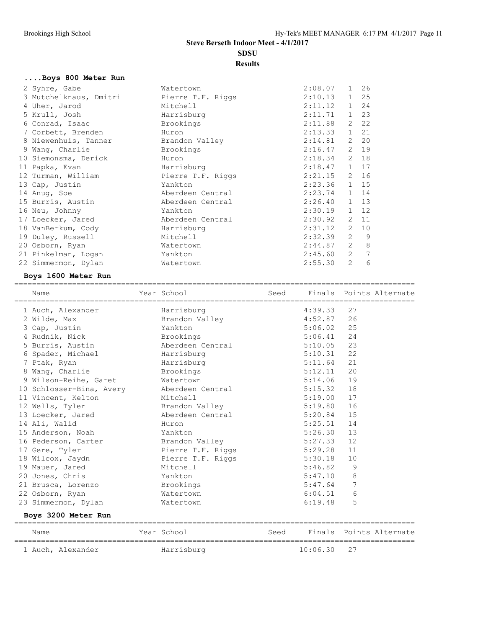### **Results**

## **....Boys 800 Meter Run**

| 2 Syhre, Gabe          | Watertown         | 2:08.07        | $\mathbf{1}$   | 26           |
|------------------------|-------------------|----------------|----------------|--------------|
| 3 Mutchelknaus, Dmitri | Pierre T.F. Riggs | 2:10.13        |                | $1 \quad 25$ |
| 4 Uher, Jarod          | Mitchell          | 2:11.12        |                | $1 \quad 24$ |
| 5 Krull, Josh          | Harrisburg        | 2:11.71        |                | 1 23         |
| 6 Conrad, Isaac        | Brookings         | 2:11.88        |                | $2 \quad 22$ |
| 7 Corbett, Brenden     | Huron             | 2:13.33        |                | 1 21         |
| 8 Niewenhuis, Tanner   | Brandon Valley    | 2:14.81        |                | $2 \quad 20$ |
| 9 Wang, Charlie        | Brookings         | 2:16.47        |                | 2 19         |
| 10 Siemonsma, Derick   | Huron             | 2:18.34        |                | $2 \quad 18$ |
| 11 Papka, Evan         | Harrisburg        | 2:18.47        |                | 1 17         |
| 12 Turman, William     | Pierre T.F. Riggs | 2:21.15        |                | 2 16         |
| 13 Cap, Justin         | Yankton           | $2:23.36$ 1 15 |                |              |
| 14 Anug, Soe           | Aberdeen Central  | 2:23.74        |                | 1 14         |
| 15 Burris, Austin      | Aberdeen Central  | 2:26.40        |                | $1 \quad 13$ |
| 16 Neu, Johnny         | Yankton           | 2:30.19        |                | $1 \quad 12$ |
| 17 Loecker, Jared      | Aberdeen Central  | 2:30.92        |                | 2 11         |
| 18 VanBerkum, Cody     | Harrisburg        | $2:31.12$ 2 10 |                |              |
| 19 Duley, Russell      | Mitchell          | 2:32.39        | 2              | - 9          |
| 20 Osborn, Ryan        | Watertown         | 2:44.87        | $\overline{2}$ | 8            |
| 21 Pinkelman, Logan    | Yankton           | 2:45.60        | 2              | 7            |
| 22 Simmermon, Dylan    | Watertown         | 2:55.30        | $\overline{2}$ | 6            |

## **Boys 1600 Meter Run**

| Name                                                       | Year School The Seed Finals Points Alternate |              |                |  |
|------------------------------------------------------------|----------------------------------------------|--------------|----------------|--|
| 1 Auch, Alexander Marrisburg                               |                                              | $4:39.33$ 27 |                |  |
| 2 Wilde, Max <b>Brandon Valley</b> 4:52.87 26              |                                              |              |                |  |
| 3 Cap, Justin Yankton                                      |                                              | $5:06.02$ 25 |                |  |
| 4 Rudnik, Nick Brookings                                   |                                              | $5:06.41$ 24 |                |  |
| 5 Burris, Austin 5:10.05 Aberdeen Central 5:10.05 23       |                                              |              |                |  |
| 6 Spader, Michael Marrisburg                               |                                              | $5:10.31$ 22 |                |  |
| 7 Ptak, Ryan                                               | Harrisburg                                   | $5:11.64$ 21 |                |  |
| 8 Wang, Charlie Brookings                                  |                                              | $5:12.11$ 20 |                |  |
| 9 Wilson-Reihe, Garet Matertown                            |                                              | $5:14.06$ 19 |                |  |
| 10 Schlosser-Bina, Avery Aberdeen Central                  |                                              | $5:15.32$ 18 |                |  |
| 11 Vincent, Kelton                                         | Mitchell                                     | $5:19.00$ 17 |                |  |
| 12 Wells, Tyler Brandon Valley                             |                                              | 5:19.80 16   |                |  |
| 13 Loecker, Jared Moerdeen Central                         |                                              | $5:20.84$ 15 |                |  |
| 14 Ali, Walid<br><b>Example 2018</b> Huron                 |                                              | $5:25.51$ 14 |                |  |
| 15 Anderson, Noah Mankton                                  |                                              | $5:26.30$ 13 |                |  |
| 16 Pederson, Carter Brandon Valley                         |                                              | $5:27.33$ 12 |                |  |
| 17 Gere, Tyler <b>Example 21 Figure 1.5.</b> Riggs 5:29.28 |                                              |              | 11             |  |
| 18 Wilcox, Jaydn Bierre T.F. Riggs                         |                                              | $5:30.18$ 10 |                |  |
| 19 Mauer, Jared Mitchell                                   |                                              | 5:46.82      | 9              |  |
| 20 Jones, Chris Tankton                                    |                                              | 5:47.10      | 8              |  |
| 21 Brusca, Lorenzo Brookings                               |                                              | 5:47.64      | $\overline{7}$ |  |
| 22 Osborn, Ryan                                            | Watertown                                    | 6:04.51      | 6              |  |
| 23 Simmermon, Dylan Watertown                              |                                              | 6:19.48      | 5              |  |
| Boys 3200 Meter Run                                        |                                              |              |                |  |

| Name |                   | Year School | Seed |               | Finals Points Alternate |
|------|-------------------|-------------|------|---------------|-------------------------|
|      | 1 Auch, Alexander | Harrisburg  |      | $10:06.30$ 27 |                         |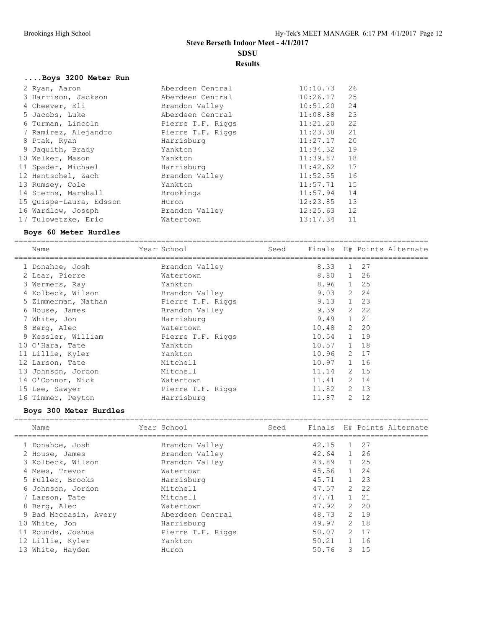# **SDSU**

**Results**

#### **....Boys 3200 Meter Run**

| 2 Ryan, Aaron           | Aberdeen Central  | 10:10.73 | 26 |
|-------------------------|-------------------|----------|----|
| 3 Harrison, Jackson     | Aberdeen Central  | 10:26.17 | 25 |
| 4 Cheever, Eli          | Brandon Valley    | 10:51.20 | 24 |
| 5 Jacobs, Luke          | Aberdeen Central  | 11:08.88 | 23 |
| 6 Turman, Lincoln       | Pierre T.F. Riggs | 11:21.20 | 22 |
| 7 Ramirez, Alejandro    | Pierre T.F. Riggs | 11:23.38 | 21 |
| 8 Ptak, Ryan            | Harrisburg        | 11:27.17 | 20 |
| 9 Jaquith, Brady        | Yankton           | 11:34.32 | 19 |
| 10 Welker, Mason        | Yankton           | 11:39.87 | 18 |
| 11 Spader, Michael      | Harrisburg        | 11:42.62 | 17 |
| 12 Hentschel, Zach      | Brandon Valley    | 11:52.55 | 16 |
| 13 Rumsey, Cole         | Yankton           | 11:57.71 | 15 |
| 14 Sterns, Marshall     | Brookings         | 11:57.94 | 14 |
| 15 Quispe-Laura, Edsson | Huron             | 12:23.85 | 13 |
| 16 Wardlow, Joseph      | Brandon Valley    | 12:25.63 | 12 |
| 17 Tulowetzke, Eric     | Watertown         | 13:17.34 | 11 |
|                         |                   |          |    |

### **Boys 60 Meter Hurdles**

============================================================================================= Name The Year School Seed Finals H# Points Alternate ============================================================================================= 1 Donahoe, Josh Brandon Valley 8.33 1 27 2 Lear, Pierre Watertown 8.80 1 26 3 Wermers, Ray Yankton 8.96 1 25 4 Kolbeck, Wilson Brandon Valley 9.03 2 24 5 Zimmerman, Nathan Pierre T.F. Riggs 9.13 1 23 6 House, James Brandon Valley 9.39 2 22 7 White, Jon Harrisburg 9.49 1 21 8 Berg, Alec Watertown 10.48 2 20 9 Kessler, William Pierre T.F. Riggs 10.54 1 19 10 O'Hara, Tate Yankton 10.57 1 18 11 Lillie, Kyler Yankton 10.96 2 17 12 Larson, Tate Mitchell 10.97 1 16 13 Johnson, Jordon 11.14 2 15 14 O'Connor, Nick Watertown 11.41 2 14 15 Lee, Sawyer Pierre T.F. Riggs 11.82 2 13 16 Timmer, Peyton **Harrisburg** 11.87 2 12

### **Boys 300 Meter Hurdles**

| Name                  | Year School       | Seed |            |       | Finals H# Points Alternate |
|-----------------------|-------------------|------|------------|-------|----------------------------|
| 1 Donahoe, Josh       | Brandon Valley    |      | 42.15      | 1 27  |                            |
| 2 House, James        | Brandon Valley    |      | 42.64 1 26 |       |                            |
| 3 Kolbeck, Wilson     | Brandon Valley    |      | 43.89 1 25 |       |                            |
| 4 Mees, Trevor        | Watertown         |      | 45.56 1 24 |       |                            |
| 5 Fuller, Brooks      | Harrisburg        |      | 45.71 1 23 |       |                            |
| 6 Johnson, Jordon     | Mitchell          |      | 47.57      | 2 2 2 |                            |
| 7 Larson, Tate        | Mitchell          |      | 47.71 1 21 |       |                            |
| 8 Berg, Alec          | Watertown         |      | 47.92      | 2 2 0 |                            |
| 9 Bad Moccasin, Avery | Aberdeen Central  |      | 48.73      | 2 19  |                            |
| 10 White, Jon         | Harrisburg        |      | 49.97      | 2 18  |                            |
| 11 Rounds, Joshua     | Pierre T.F. Riggs |      | 50.07      | 2 17  |                            |
| 12 Lillie, Kyler      | Yankton           |      | 50.21 1 16 |       |                            |
| 13 White, Hayden      | Huron             |      | 50.76      | 3 15  |                            |
|                       |                   |      |            |       |                            |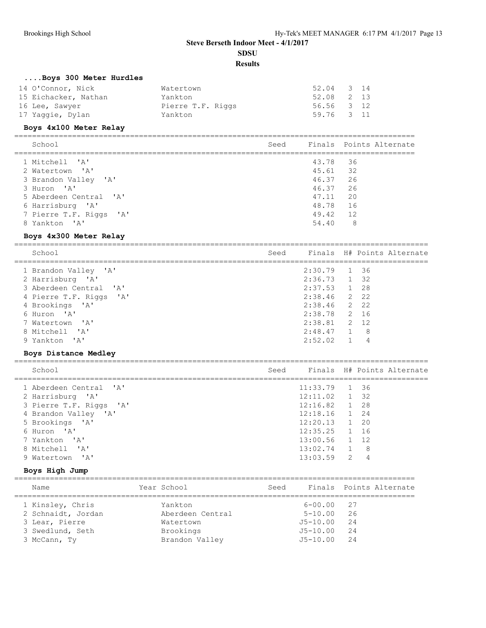## **Results**

## **....Boys 300 Meter Hurdles**

| Watertown         |  |                                                      |
|-------------------|--|------------------------------------------------------|
| Yankton           |  |                                                      |
| Pierre T.F. Riggs |  |                                                      |
| Yankton           |  |                                                      |
|                   |  | 52.04 3 14<br>52.08 2 13<br>56.56 3 12<br>59.76 3 11 |

## **Boys 4x100 Meter Relay**

| School                                     | Seed |                      | Finals Points Alternate |
|--------------------------------------------|------|----------------------|-------------------------|
| 1 Mitchell 'A'<br>2 Watertown 'A'          |      | 43.78 36<br>45.61 32 |                         |
| 3 Brandon Valley 'A'<br>3 Huron 'A'        |      | 46.37 26<br>46.37 26 |                         |
| 5 Aberdeen Central 'A'<br>6 Harrisburg 'A' |      | 47.11<br>48.78 16    | - 20                    |
| 7 Pierre T.F. Riggs 'A'<br>8 Yankton 'A'   |      | 49.42 12<br>54.40    | - 8                     |

#### **Boys 4x300 Meter Relay**

| School                  | Seed |                | Finals H# Points Alternate |
|-------------------------|------|----------------|----------------------------|
| 1 Brandon Valley 'A'    |      | 2:30.79 1 36   |                            |
| 2 Harrisburg 'A'        |      | $2:36.73$ 1 32 |                            |
| 3 Aberdeen Central 'A'  |      | $2:37.53$ 1 28 |                            |
| 4 Pierre T.F. Riggs 'A' |      | $2:38.46$ 2 22 |                            |
| 4 Brookings 'A'         |      | $2:38.46$ 2 22 |                            |
| 6 Huron 'A'             |      | $2:38.78$ 2 16 |                            |
| 7 Watertown 'A'         |      | $2:38.81$ 2 12 |                            |
| 8 Mitchell 'A'          |      | $2:48.47$ 1    | - 8                        |
| 9 Yankton 'A'           |      | 2:52.02        | 4                          |
|                         |      |                |                            |

## **Boys Distance Medley**

| School                  | Seed |                 | Finals H# Points Alternate |
|-------------------------|------|-----------------|----------------------------|
| 1 Aberdeen Central 'A'  |      | $11:33.79$ 1 36 |                            |
| 2 Harrisburg 'A'        |      | $12:11.02$ 1 32 |                            |
| 3 Pierre T.F. Riggs 'A' |      | $12:16.82$ 1 28 |                            |
| 4 Brandon Valley 'A'    |      | $12:18.16$ 1 24 |                            |
| 5 Brookings 'A'         |      | $12:20.13$ 1 20 |                            |
| 6 Huron 'A'             |      | $12:35.25$ 1 16 |                            |
| 7 Yankton 'A'           |      | $13:00.56$ 1 12 |                            |
| 8 Mitchell 'A'          |      | $13:02.74$ 1 8  |                            |
| 9 Watertown 'A'         |      | $13:03.59$ 2    | 4                          |
|                         |      |                 |                            |

## **Boys High Jump**

| Name               | Year School      | Seed |                | Finals Points Alternate |
|--------------------|------------------|------|----------------|-------------------------|
| 1 Kinsley, Chris   | Yankton          |      | $6 - 00.00$ 27 |                         |
| 2 Schnaidt, Jordan | Aberdeen Central |      | $5 - 10.00$    | 26                      |
| 3 Lear, Pierre     | Watertown        |      | $J5 - 10.00$   | 24                      |
| 3 Swedlund, Seth   | Brookings        |      | J5-10.00       | 24                      |
| 3 McCann, Ty       | Brandon Valley   |      | $J5 - 10.00$   | 24                      |
|                    |                  |      |                |                         |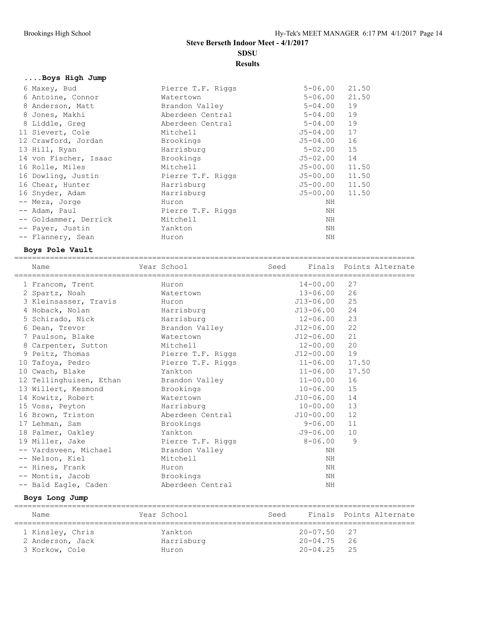**Results**

## **....Boys High Jump**

| 6 Maxey, Bud          | Pierre T.F. Riggs | $5 - 06.00$  | 21.50 |
|-----------------------|-------------------|--------------|-------|
| 6 Antoine, Connor     | Watertown         | $5 - 06.00$  | 21.50 |
| 8 Anderson, Matt      | Brandon Valley    | $5 - 04.00$  | 19    |
| 8 Jones, Makhi        | Aberdeen Central  | $5 - 04.00$  | 19    |
| 8 Liddle, Greg        | Aberdeen Central  | $5 - 04.00$  | 19    |
| 11 Sievert, Cole      | Mitchell          | $J5 - 04.00$ | 17    |
| 12 Crawford, Jordan   | Brookings         | J5-04.00     | 16    |
| 13 Hill, Ryan         | Harrisburg        | $5 - 02.00$  | 15    |
| 14 von Fischer, Isaac | Brookings         | J5-02.00     | 14    |
| 16 Rolle, Miles       | Mitchell          | J5-00.00     | 11.50 |
| 16 Dowling, Justin    | Pierre T.F. Riggs | J5-00.00     | 11.50 |
| 16 Chear, Hunter      | Harrisburg        | J5-00.00     | 11.50 |
| 16 Snyder, Adam       | Harrisburg        | J5-00.00     | 11.50 |
| -- Meza, Jorge        | Huron             | ΝH           |       |
| -- Adam, Paul         | Pierre T.F. Riggs | ΝH           |       |
| -- Goldammer, Derrick | Mitchell          | ΝH           |       |
| -- Payer, Justin      | Yankton           | ΝH           |       |
| -- Flannery, Sean     | Huron             | NH           |       |

## **Boys Pole Vault**

| Name                                   | Year School       | Seed Finals Points Alternate |       |  |
|----------------------------------------|-------------------|------------------------------|-------|--|
| 1 Francom, Trent                       | Huron             | $14 - 00.00$                 | 27    |  |
| 2 Spartz, Noah                         | Watertown         | $13 - 06.00$                 | 26    |  |
| 3 Kleinsasser, Travis                  | Huron             | J13-06.00                    | 25    |  |
| 4 Hoback, Nolan                        | Harrisburg        | J13-06.00                    | 24    |  |
| 5 Schirado, Nick                       | Harrisburg        | 12-06.00                     | 23    |  |
| 6 Dean, Trevor                         | Brandon Valley    | J12-06.00                    | 22    |  |
| 7 Paulson, Blake                       | Watertown         | J12-06.00                    | 21    |  |
| 8 Carpenter, Sutton                    | Mitchell          | 12-00.00                     | 20    |  |
| 9 Peitz, Thomas                        | Pierre T.F. Riggs | J12-00.00                    | 19    |  |
| 10 Tafoya, Pedro                       | Pierre T.F. Riggs | $11 - 06.00$                 | 17.50 |  |
| 10 Cwach, Blake                        | Yankton           | $11 - 06.00$                 | 17.50 |  |
| 12 Tellinghuisen, Ethan Brandon Valley |                   | $11 - 00.00$                 | 16    |  |
| 13 Willert, Kesmond                    | Brookings         | 10-06.00                     | 15    |  |
| 14 Kowitz, Robert                      | Watertown         | J10-06.00                    | 14    |  |
| 15 Voss, Peyton                        | Harrisburg        | $10 - 00.00$                 | 13    |  |
| 16 Brown, Triston                      | Aberdeen Central  | J10-00.00                    | 12    |  |
| 17 Lehman, Sam                         | Brookings         | $9 - 06.00$                  | 11    |  |
| 18 Palmer, Oakley                      | Yankton           | J9-06.00                     | 10    |  |
| 19 Miller, Jake                        | Pierre T.F. Riggs | $8 - 06.00$                  | 9     |  |
| -- Vardsveen, Michael                  | Brandon Valley    | ΝH                           |       |  |
| -- Nelson, Kiel                        | Mitchell          | NH                           |       |  |
| -- Hines, Frank                        | Huron             | ΝH                           |       |  |
| -- Montis, Jacob                       | Brookings         | ΝH                           |       |  |
| -- Bald Eagle, Caden                   | Aberdeen Central  | ΝH                           |       |  |
| Botte Long Jump                        |                   |                              |       |  |

#### **Boys Long Jump**

| Name             | Year School | Seed |                 | Finals Points Alternate |
|------------------|-------------|------|-----------------|-------------------------|
| 1 Kinsley, Chris | Yankton     |      | $20 - 07.50$ 27 |                         |
| 2 Anderson, Jack | Harrisburg  |      | $20 - 04.75$    | - 26                    |
| 3 Korkow, Cole   | Huron       |      | $20 - 04.25$ 25 |                         |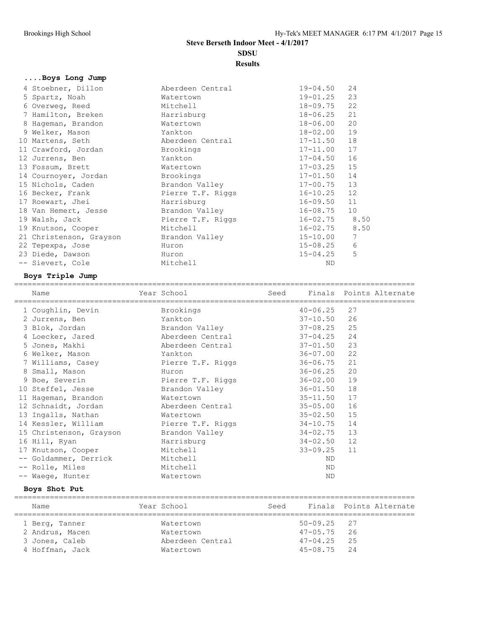**Results**

## **....Boys Long Jump**

| 4 Stoebner, Dillon      | Aberdeen Central  | $19 - 04.50$      | 24   |
|-------------------------|-------------------|-------------------|------|
| 5 Spartz, Noah          | Watertown         | $19 - 01.25$      | 23   |
| 6 Overweg, Reed         | Mitchell          | $18 - 09.75$ 22   |      |
| 7 Hamilton, Breken      | Harrisburg        | 18-06.25          | 21   |
| 8 Hageman, Brandon      | Watertown         | $18 - 06.00$      | 20   |
| 9 Welker, Mason         | Yankton           | $18 - 02.00$      | 19   |
| 10 Martens, Seth        | Aberdeen Central  | $17 - 11.50$      | 18   |
| 11 Crawford, Jordan     | Brookings         | $17 - 11.00$      | 17   |
| 12 Jurrens, Ben         | Yankton           | $17 - 04.50$      | 16   |
| 13 Fossum, Brett        | Watertown         | $17 - 03.25$      | 15   |
| 14 Cournoyer, Jordan    | Brookings         | $17 - 01.50$      | 14   |
| 15 Nichols, Caden       | Brandon Valley    | $17 - 00.75$      | 13   |
| 16 Becker, Frank        | Pierre T.F. Riggs | $16 - 10.25$      | 12   |
| 17 Roewart, Jhei        | Harrisburg        | $16 - 09.50$      | 11   |
| 18 Van Hemert, Jesse    | Brandon Valley    | $16 - 08.75$      | 10   |
| 19 Walsh, Jack          | Pierre T.F. Riggs | $16 - 02.75$ 8.50 |      |
| 19 Knutson, Cooper      | Mitchell          | 16-02.75          | 8.50 |
| 21 Christenson, Grayson | Brandon Valley    | $15 - 10.00$      | 7    |
| 22 Tepexpa, Jose        | Huron             | $15 - 08.25$      | 6    |
| 23 Diede, Dawson        | Huron             | $15 - 04.25$      | 5    |
| -- Sievert, Cole        | Mitchell          | <b>ND</b>         |      |

## **Boys Triple Jump**

| Name                                                               | Year School and the School and the School | Seed Finals Points Alternate |    |  |
|--------------------------------------------------------------------|-------------------------------------------|------------------------------|----|--|
| 1 Coughlin, Devin                                                  | Brookings                                 | $40 - 06.25$                 | 27 |  |
| 2 Jurrens, Ben                                                     | Yankton                                   | $37 - 10.50$                 | 26 |  |
| 3 Blok, Jordan Brandon Valley                                      |                                           | $37 - 08.25$ 25              |    |  |
| 4 Loecker, Jared           Aberdeen Central               37-04.25 |                                           |                              | 24 |  |
| 5 Jones, Makhi                                                     | Aberdeen Central 37-01.50                 |                              | 23 |  |
| 6 Welker, Mason Mankton                                            |                                           | 36-07.00                     | 22 |  |
| 7 Williams, Casey Pierre T.F. Riggs                                |                                           | 36-06.75                     | 21 |  |
| 8 Small, Mason                                                     | Huron                                     | 36-06.25                     | 20 |  |
| 9 Boe, Severin Pierre T.F. Riggs                                   |                                           | $36 - 02.00$                 | 19 |  |
| 10 Steffel, Jesse                                                  | Brandon Valley                            | 36-01.50                     | 18 |  |
| 11 Hageman, Brandon                                                | Watertown                                 | 35-11.50                     | 17 |  |
| 12 Schnaidt, Jordan                                                | Aberdeen Central                          | $35 - 05.00$                 | 16 |  |
| 13 Ingalls, Nathan                                                 | Watertown                                 | 35-02.50                     | 15 |  |
| 14 Kessler, William Marketter Pierre T.F. Riggs                    |                                           | $34 - 10.75$                 | 14 |  |
| 15 Christenson, Grayson Brandon Valley                             |                                           | 34-02.75                     | 13 |  |
| 16 Hill, Ryan                                                      | For Harrisburg                            | 34-02.50                     | 12 |  |
| 17 Knutson, Cooper Mitchell                                        |                                           | 33-09.25                     | 11 |  |
| -- Goldammer, Derrick                                              | Mitchell                                  | ND                           |    |  |
| -- Rolle, Miles                                                    | Mitchell                                  | ND                           |    |  |
| -- Waege, Hunter                                                   | Watertown                                 | ND.                          |    |  |

## **Boys Shot Put**

| Name            | Year School      | Seed |                    | Finals Points Alternate |
|-----------------|------------------|------|--------------------|-------------------------|
| 1 Berg, Tanner  | Watertown        |      | $50 - 09.25$ 27    |                         |
| 2 Andrus, Macen | Watertown        |      | $47 - 0.5$ . 75 26 |                         |
| 3 Jones, Caleb  | Aberdeen Central |      | $47 - 04.25$ 25    |                         |
| 4 Hoffman, Jack | Watertown        |      | $45 - 08.75$ 24    |                         |